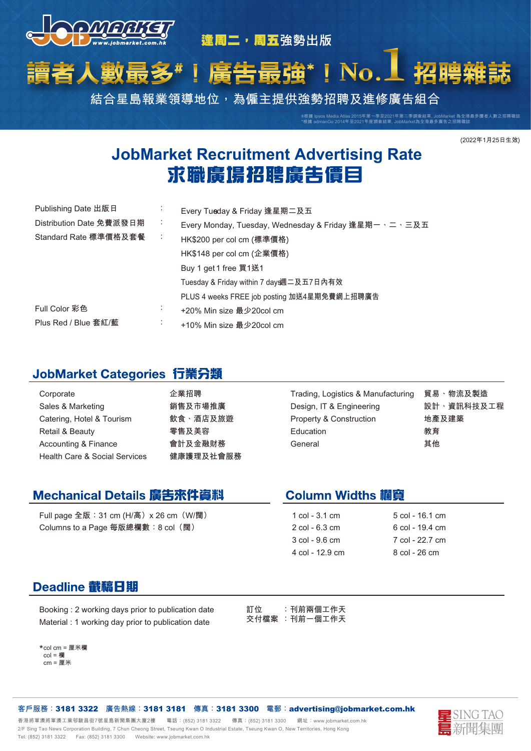

逢周二,周五強勢出版

#### No. 庸告 數最多 Į

**結合星島報業領導地位,為僱主提供強勢招聘及進修廣告組合**

**#根據 Ipsos Media Atlas 2015年第一季至2021年第二季調查結果, JobMarket 為全港最多讀者人數之招聘雜誌 \*根據 admanGo 2014年至2021年度調查結果, JobMarket為全港最多廣告之招聘雜誌**

### **(2022年1月25日生效)**

# **JobMarket Recruitment Advertising Rate<br>求職廣揚招聘廣告價目**

| Publishing Date 出版日      |   | Every Tueday & Friday 逢星期二及五                         |
|--------------------------|---|------------------------------------------------------|
| Distribution Date 免費派發日期 | ÷ | Every Monday, Tuesday, Wednesday & Friday 逢星期一、二、三及五 |
| Standard Rate 標準價格及套餐    |   | HK\$200 per col cm (標準價格)                            |
|                          |   | HK\$148 per col cm (企業價格)                            |
|                          |   | Buy 1 get 1 free 買1送1                                |
|                          |   | Tuesday & Friday within 7 day遇二及五7日內有效               |
|                          |   | PLUS 4 weeks FREE job posting 加送4星期免費網上招聘廣告          |
| Full Color 彩色            | ٠ | +20% Min size 最少20col cm                             |
| Plus Red / Blue 套紅/藍     | ٠ | +10% Min size 最少20col cm                             |

### JobMarket Categories 行業分類

| Corporate<br>Sales & Marketing<br>Catering, Hotel & Tourism      | 企業招聘<br>銷售及市場推廣<br>飲食、酒店及旅遊 | Trading, Logistics & Manufacturing<br>Design, IT & Engineering<br>Property & Construction | 貿易、物流及製造<br>設計、資訊科技及工程<br>地產及建築 |
|------------------------------------------------------------------|-----------------------------|-------------------------------------------------------------------------------------------|---------------------------------|
| Retail & Beauty                                                  | 零售及美容                       | Education                                                                                 | 教育                              |
| Accounting & Finance<br><b>Health Care &amp; Social Services</b> | 會計及金融財務<br>健康護理及社會服務        | General                                                                                   | 其他                              |

# Mechanical Details 廣告來件資料

**Full page 全版:31 cm (H/高)x 26 cm(W/闊) Columns to a Page 每版總欄數:8 col(闊)** 

# **Column Widths 欄寶**

- **1 col 3.1 cm 2 col - 6.3 cm 3 col - 9.6 cm 4 col - 12.9 cm**
- **5 col 16.1 cm 6 col - 19.4 cm 7 col - 22.7 cm 8 col - 26 cm**

# Deadline 截稿日期

**Booking : 2 working days prior to publication date Material : 1 working day prior to publication date** 

**訂位 :刊前兩個工作天 交付檔案 :刊前一個工作天** 

**\* col cm = 厘米欄 col = 欄 cm = 厘米** 

**客戶服務:**3181 3322 **廣告熱線:**3181 3181 **傳真:**3181 3300 **電郵:**advertising@jobmarket.com.hk

香港將軍澳將軍澳工業邨駿昌街7號星島新聞集團大廈2樓 電話:(852) 3181 3322 傳真:(852) 3181 3300 網址:www.jobmarket.com.hk **2/F Sing Tao News Corporation Building, 7 Chun Cheong Street, Tseung Kwan O Industrial Estate, Tseung Kwan O, New Territories, Hong Kong Tel: (852) 3181 3322 Fax: (852) 3181 3300 Website: www.jobmarket.com.hk**